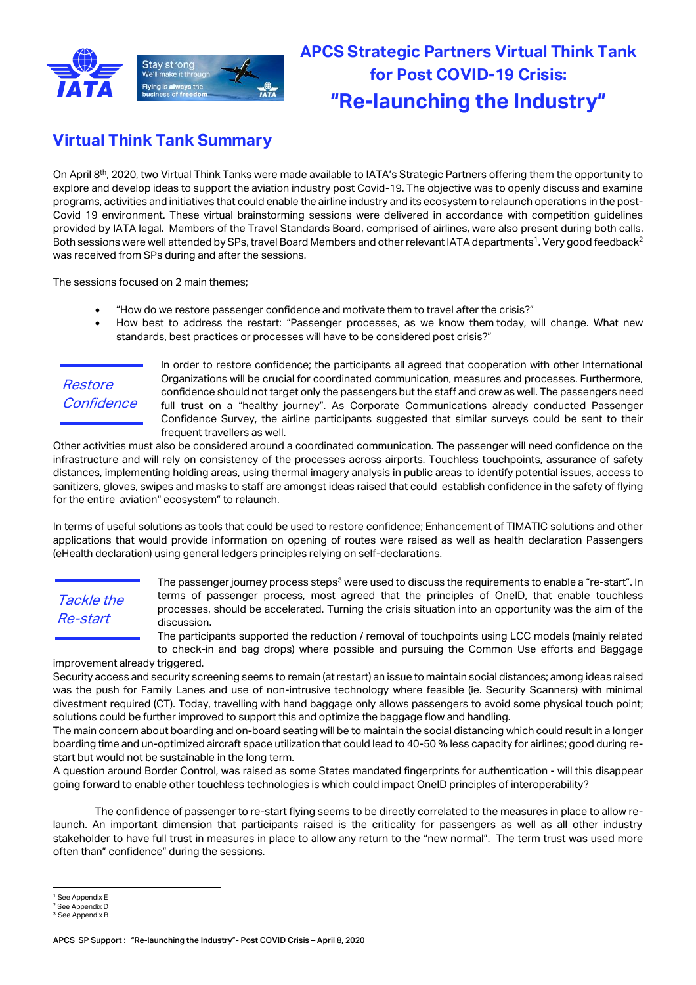

# **APCS Strategic Partners Virtual Think Tank for Post COVID-19 Crisis: "Re-launching the Industry"**

# **Virtual Think Tank Summary**

On April 8th, 2020, two Virtual Think Tanks were made available to IATA's Strategic Partners offering them the opportunity to explore and develop ideas to support the aviation industry post Covid-19. The objective was to openly discuss and examine programs, activities and initiatives that could enable the airline industry and its ecosystem to relaunch operations in the post-Covid 19 environment. These virtual brainstorming sessions were delivered in accordance with competition guidelines provided by IATA legal. Members of the Travel Standards Board, comprised of airlines, were also present during both calls. Both sessions were well attended by SPs, travel Board Members and other relevant IATA departments<sup>1</sup>. Very good feedback<sup>2</sup> was received from SPs during and after the sessions.

The sessions focused on 2 main themes;

- "How do we restore passenger confidence and motivate them to travel after the crisis?"
- How best to address the restart: "Passenger processes, as we know them today, will change. What new standards, best practices or processes will have to be considered post crisis?"

## Restore **Confidence**

In order to restore confidence; the participants all agreed that cooperation with other International Organizations will be crucial for coordinated communication, measures and processes. Furthermore, confidence should not target only the passengers but the staff and crew as well. The passengers need full trust on a "healthy journey". As Corporate Communications already conducted Passenger Confidence Survey, the airline participants suggested that similar surveys could be sent to their frequent travellers as well.

Other activities must also be considered around a coordinated communication. The passenger will need confidence on the infrastructure and will rely on consistency of the processes across airports. Touchless touchpoints, assurance of safety distances, implementing holding areas, using thermal imagery analysis in public areas to identify potential issues, access to sanitizers, gloves, swipes and masks to staff are amongst ideas raised that could establish confidence in the safety of flying for the entire aviation" ecosystem" to relaunch.

In terms of useful solutions as tools that could be used to restore confidence; Enhancement of TIMATIC solutions and other applications that would provide information on opening of routes were raised as well as health declaration Passengers (eHealth declaration) using general ledgers principles relying on self-declarations.

## Tackle the Re-start

The passenger journey process steps<sup>3</sup> were used to discuss the requirements to enable a "re-start". In terms of passenger process, most agreed that the principles of OneID, that enable touchless processes, should be accelerated. Turning the crisis situation into an opportunity was the aim of the discussion.

The participants supported the reduction / removal of touchpoints using LCC models (mainly related to check-in and bag drops) where possible and pursuing the Common Use efforts and Baggage

improvement already triggered.

Security access and security screening seems to remain (at restart) an issue to maintain social distances; among ideas raised was the push for Family Lanes and use of non-intrusive technology where feasible (ie. Security Scanners) with minimal divestment required (CT). Today, travelling with hand baggage only allows passengers to avoid some physical touch point; solutions could be further improved to support this and optimize the baggage flow and handling.

The main concern about boarding and on-board seating will be to maintain the social distancing which could result in a longer boarding time and un-optimized aircraft space utilization that could lead to 40-50 % less capacity for airlines; good during restart but would not be sustainable in the long term.

A question around Border Control, was raised as some States mandated fingerprints for authentication - will this disappear going forward to enable other touchless technologies is which could impact OneID principles of interoperability?

The confidence of passenger to re-start flying seems to be directly correlated to the measures in place to allow relaunch. An important dimension that participants raised is the criticality for passengers as well as all other industry stakeholder to have full trust in measures in place to allow any return to the "new normal". The term trust was used more often than" confidence" during the sessions.

<sup>&</sup>lt;sup>1</sup> See Appendix E

See Appendix D

<sup>3</sup> See Appendix B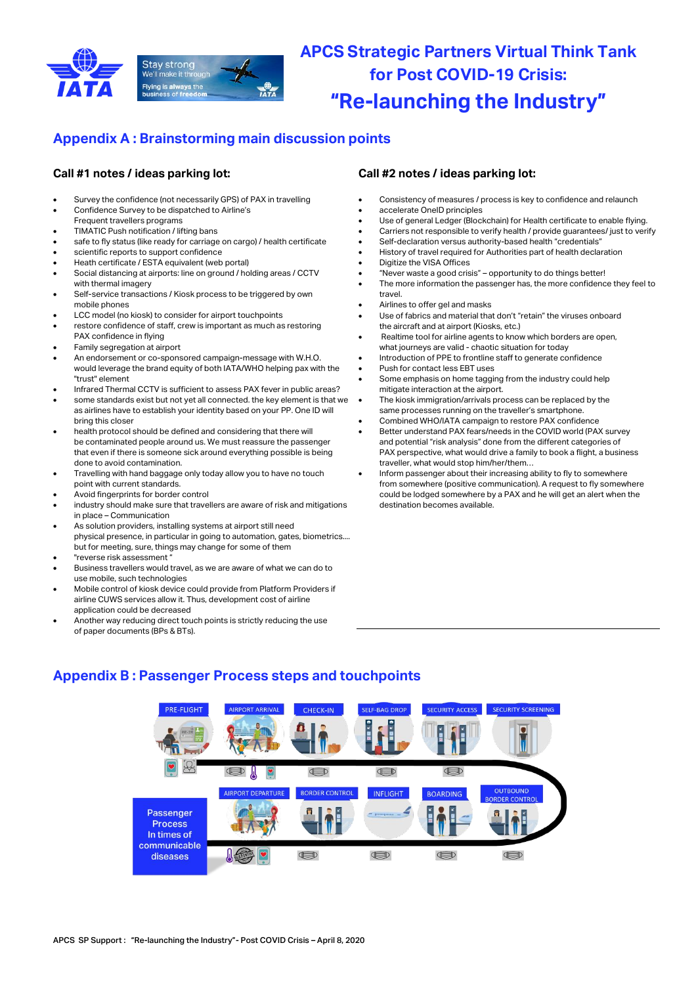

# **APCS Strategic Partners Virtual Think Tank for Post COVID-19 Crisis: "Re-launching the Industry"**

## **Appendix A : Brainstorming main discussion points**

### **Call #1 notes / ideas parking lot:**

- Survey the confidence (not necessarily GPS) of PAX in travelling
- Confidence Survey to be dispatched to Airline's Frequent travellers programs
- TIMATIC Push notification / lifting bans
- safe to fly status (like ready for carriage on cargo) / health certificate
- scientific reports to support confidence
- Heath certificate / ESTA equivalent (web portal)
- Social distancing at airports: line on ground / holding areas / CCTV with thermal imagery
- Self-service transactions / Kiosk process to be triggered by own mobile phones
- LCC model (no kiosk) to consider for airport touchpoints
- restore confidence of staff, crew is important as much as restoring PAX confidence in flying
- Family segregation at airport
- An endorsement or co-sponsored campaign-message with W.H.O. would leverage the brand equity of both IATA/WHO helping pax with the "trust" element
- Infrared Thermal CCTV is sufficient to assess PAX fever in public areas?
- some standards exist but not yet all connected. the key element is that we as airlines have to establish your identity based on your PP. One ID will bring this closer
- health protocol should be defined and considering that there will be contaminated people around us. We must reassure the passenger that even if there is someone sick around everything possible is being done to avoid contamination.
- Travelling with hand baggage only today allow you to have no touch point with current standards.
- Avoid fingerprints for border control
- industry should make sure that travellers are aware of risk and mitigations in place – Communication
- As solution providers, installing systems at airport still need physical presence, in particular in going to automation, gates, biometrics.... but for meeting, sure, things may change for some of them
- "reverse risk assessment "
- Business travellers would travel, as we are aware of what we can do to use mobile, such technologies
- Mobile control of kiosk device could provide from Platform Providers if airline CUWS services allow it. Thus, development cost of airline application could be decreased
- Another way reducing direct touch points is strictly reducing the use of paper documents (BPs & BTs).

### **Call #2 notes / ideas parking lot:**

- Consistency of measures / process is key to confidence and relaunch
- accelerate OneID principles
- Use of general Ledger (Blockchain) for Health certificate to enable flying.
- Carriers not responsible to verify health / provide guarantees/ just to verify
- Self-declaration versus authority-based health "credentials"
- History of travel required for Authorities part of health declaration
- Digitize the VISA Offices
- "Never waste a good crisis" opportunity to do things better!
- The more information the passenger has, the more confidence they feel to travel.
	- Airlines to offer gel and masks
	- Use of fabrics and material that don't "retain" the viruses onboard the aircraft and at airport (Kiosks, etc.)
	- Realtime tool for airline agents to know which borders are open, what journeys are valid - chaotic situation for today
	- Introduction of PPE to frontline staff to generate confidence
	- Push for contact less EBT uses
	- Some emphasis on home tagging from the industry could help mitigate interaction at the airport.
	- The kiosk immigration/arrivals process can be replaced by the same processes running on the traveller's smartphone.
	- Combined WHO/IATA campaign to restore PAX confidence • Better understand PAX fears/needs in the COVID world (PAX survey
	- and potential "risk analysis" done from the different categories of PAX perspective, what would drive a family to book a flight, a business traveller, what would stop him/her/them…
	- Inform passenger about their increasing ability to fly to somewhere from somewhere (positive communication). A request to fly somewhere could be lodged somewhere by a PAX and he will get an alert when the destination becomes available.

## **Appendix B : Passenger Process steps and touchpoints**